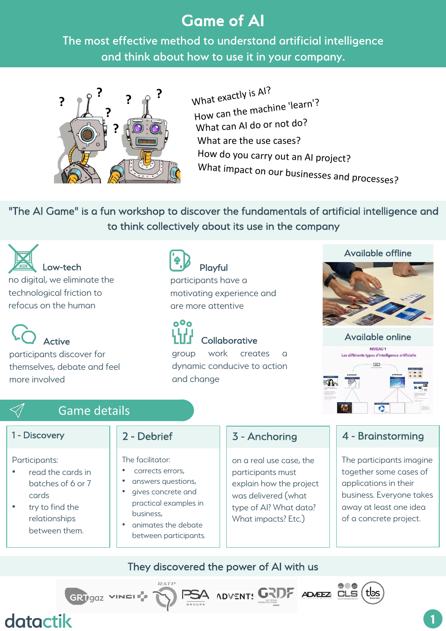# Game of AI

The most effective method to understand artificial intelligence and think about how to use it in your company.



What are the use cases? What exactly is AI? How can the machine 'learn'? What can AI do or not do? How do you carry out an AI project? What impact on our businesses and processes?

"The AI Game" is a fun workshop to discover the fundamentals of artificial intelligence and to think collectively about its use in the company



Active participants discover for

themselves, debate and feel more involved

Playful

participants have a motivating experience and are more attentive



group work creates dynamic conducive to action and change

#### Available offline



Available online



# Game details

GRTgaz VINEL

#### 1 - Discovery

#### Participants:

- read the cards in batches of 6 or 7 cards
- try to find the relationships between them.

### 2 - Debrief

The facilitator:

- corrects errors,
- answers questions, • gives concrete and
- practical examples in business,
- animates the debate between participants.

# 3 - Anchoring

on a real use case, the participants must explain how the project was delivered (what type of AI? What data? What impacts? Etc.)

A ADVENTS GRDF ADAEEA CLS

### 4 - Brainstorming

The participants imagine together some cases of applications in their business. Everyone takes away at least one idea of a concrete project.

tbs

They discovered the power of AI with us